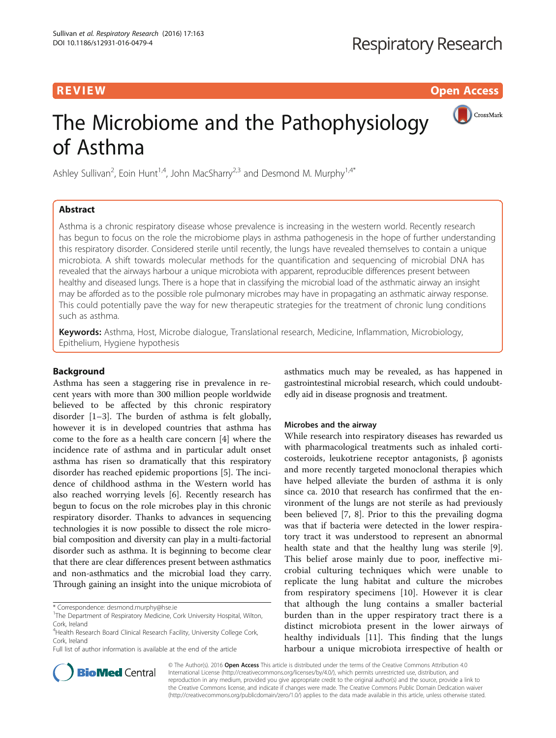R EVI EW Open Access

CrossMark

# The Microbiome and the Pathophysiology of Asthma

Ashley Sullivan<sup>2</sup>, Eoin Hunt<sup>1,4</sup>, John MacSharry<sup>2,3</sup> and Desmond M. Murphy<sup>1,4\*</sup>

# Abstract

Asthma is a chronic respiratory disease whose prevalence is increasing in the western world. Recently research has begun to focus on the role the microbiome plays in asthma pathogenesis in the hope of further understanding this respiratory disorder. Considered sterile until recently, the lungs have revealed themselves to contain a unique microbiota. A shift towards molecular methods for the quantification and sequencing of microbial DNA has revealed that the airways harbour a unique microbiota with apparent, reproducible differences present between healthy and diseased lungs. There is a hope that in classifying the microbial load of the asthmatic airway an insight may be afforded as to the possible role pulmonary microbes may have in propagating an asthmatic airway response. This could potentially pave the way for new therapeutic strategies for the treatment of chronic lung conditions such as asthma.

Keywords: Asthma, Host, Microbe dialogue, Translational research, Medicine, Inflammation, Microbiology, Epithelium, Hygiene hypothesis

# Background

Asthma has seen a staggering rise in prevalence in recent years with more than 300 million people worldwide believed to be affected by this chronic respiratory disorder [[1](#page-9-0)–[3](#page-9-0)]. The burden of asthma is felt globally, however it is in developed countries that asthma has come to the fore as a health care concern [[4\]](#page-9-0) where the incidence rate of asthma and in particular adult onset asthma has risen so dramatically that this respiratory disorder has reached epidemic proportions [\[5](#page-9-0)]. The incidence of childhood asthma in the Western world has also reached worrying levels [\[6](#page-9-0)]. Recently research has begun to focus on the role microbes play in this chronic respiratory disorder. Thanks to advances in sequencing technologies it is now possible to dissect the role microbial composition and diversity can play in a multi-factorial disorder such as asthma. It is beginning to become clear that there are clear differences present between asthmatics and non-asthmatics and the microbial load they carry. Through gaining an insight into the unique microbiota of

\* Correspondence: [desmond.murphy@hse.ie](mailto:desmond.murphy@hse.ie) <sup>1</sup>

4Health Research Board Clinical Research Facility, University College Cork, Cork, Ireland

Full list of author information is available at the end of the article

asthmatics much may be revealed, as has happened in gastrointestinal microbial research, which could undoubtedly aid in disease prognosis and treatment.

# Microbes and the airway

While research into respiratory diseases has rewarded us with pharmacological treatments such as inhaled corticosteroids, leukotriene receptor antagonists, β agonists and more recently targeted monoclonal therapies which have helped alleviate the burden of asthma it is only since ca. 2010 that research has confirmed that the environment of the lungs are not sterile as had previously been believed [[7](#page-9-0), [8\]](#page-9-0). Prior to this the prevailing dogma was that if bacteria were detected in the lower respiratory tract it was understood to represent an abnormal health state and that the healthy lung was sterile [\[9](#page-9-0)]. This belief arose mainly due to poor, ineffective microbial culturing techniques which were unable to replicate the lung habitat and culture the microbes from respiratory specimens [\[10](#page-9-0)]. However it is clear that although the lung contains a smaller bacterial burden than in the upper respiratory tract there is a distinct microbiota present in the lower airways of healthy individuals [[11\]](#page-9-0). This finding that the lungs harbour a unique microbiota irrespective of health or



© The Author(s). 2016 Open Access This article is distributed under the terms of the Creative Commons Attribution 4.0 International License [\(http://creativecommons.org/licenses/by/4.0/](http://creativecommons.org/licenses/by/4.0/)), which permits unrestricted use, distribution, and reproduction in any medium, provided you give appropriate credit to the original author(s) and the source, provide a link to the Creative Commons license, and indicate if changes were made. The Creative Commons Public Domain Dedication waiver [\(http://creativecommons.org/publicdomain/zero/1.0/](http://creativecommons.org/publicdomain/zero/1.0/)) applies to the data made available in this article, unless otherwise stated.

<sup>&</sup>lt;sup>1</sup>The Department of Respiratory Medicine, Cork University Hospital, Wilton, Cork, Ireland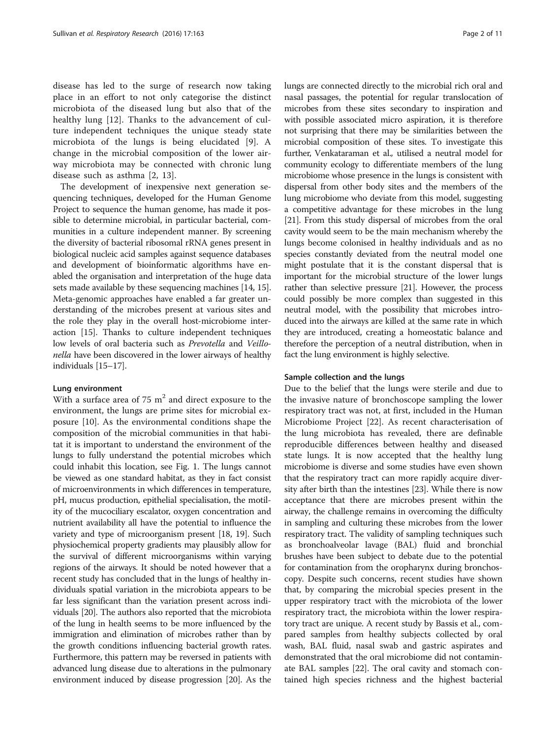disease has led to the surge of research now taking place in an effort to not only categorise the distinct microbiota of the diseased lung but also that of the healthy lung [\[12](#page-9-0)]. Thanks to the advancement of culture independent techniques the unique steady state microbiota of the lungs is being elucidated [[9\]](#page-9-0). A change in the microbial composition of the lower airway microbiota may be connected with chronic lung disease such as asthma [\[2](#page-9-0), [13\]](#page-9-0).

The development of inexpensive next generation sequencing techniques, developed for the Human Genome Project to sequence the human genome, has made it possible to determine microbial, in particular bacterial, communities in a culture independent manner. By screening the diversity of bacterial ribosomal rRNA genes present in biological nucleic acid samples against sequence databases and development of bioinformatic algorithms have enabled the organisation and interpretation of the huge data sets made available by these sequencing machines [\[14](#page-9-0), [15](#page-9-0)]. Meta-genomic approaches have enabled a far greater understanding of the microbes present at various sites and the role they play in the overall host-microbiome interaction [[15](#page-9-0)]. Thanks to culture independent techniques low levels of oral bacteria such as *Prevotella* and *Veillo*nella have been discovered in the lower airways of healthy individuals [[15](#page-9-0)–[17\]](#page-9-0).

# Lung environment

With a surface area of 75  $m<sup>2</sup>$  and direct exposure to the environment, the lungs are prime sites for microbial exposure [\[10\]](#page-9-0). As the environmental conditions shape the composition of the microbial communities in that habitat it is important to understand the environment of the lungs to fully understand the potential microbes which could inhabit this location, see Fig. [1.](#page-2-0) The lungs cannot be viewed as one standard habitat, as they in fact consist of microenvironments in which differences in temperature, pH, mucus production, epithelial specialisation, the motility of the mucociliary escalator, oxygen concentration and nutrient availability all have the potential to influence the variety and type of microorganism present [\[18, 19](#page-9-0)]. Such physiochemical property gradients may plausibly allow for the survival of different microorganisms within varying regions of the airways. It should be noted however that a recent study has concluded that in the lungs of healthy individuals spatial variation in the microbiota appears to be far less significant than the variation present across individuals [\[20\]](#page-9-0). The authors also reported that the microbiota of the lung in health seems to be more influenced by the immigration and elimination of microbes rather than by the growth conditions influencing bacterial growth rates. Furthermore, this pattern may be reversed in patients with advanced lung disease due to alterations in the pulmonary environment induced by disease progression [\[20](#page-9-0)]. As the lungs are connected directly to the microbial rich oral and nasal passages, the potential for regular translocation of microbes from these sites secondary to inspiration and with possible associated micro aspiration, it is therefore not surprising that there may be similarities between the microbial composition of these sites. To investigate this further, Venkataraman et al., utilised a neutral model for community ecology to differentiate members of the lung microbiome whose presence in the lungs is consistent with dispersal from other body sites and the members of the lung microbiome who deviate from this model, suggesting a competitive advantage for these microbes in the lung [[21](#page-9-0)]. From this study dispersal of microbes from the oral cavity would seem to be the main mechanism whereby the lungs become colonised in healthy individuals and as no species constantly deviated from the neutral model one might postulate that it is the constant dispersal that is important for the microbial structure of the lower lungs rather than selective pressure [\[21](#page-9-0)]. However, the process could possibly be more complex than suggested in this neutral model, with the possibility that microbes introduced into the airways are killed at the same rate in which they are introduced, creating a homeostatic balance and therefore the perception of a neutral distribution, when in fact the lung environment is highly selective.

# Sample collection and the lungs

Due to the belief that the lungs were sterile and due to the invasive nature of bronchoscope sampling the lower respiratory tract was not, at first, included in the Human Microbiome Project [\[22\]](#page-9-0). As recent characterisation of the lung microbiota has revealed, there are definable reproducible differences between healthy and diseased state lungs. It is now accepted that the healthy lung microbiome is diverse and some studies have even shown that the respiratory tract can more rapidly acquire diversity after birth than the intestines [\[23\]](#page-9-0). While there is now acceptance that there are microbes present within the airway, the challenge remains in overcoming the difficulty in sampling and culturing these microbes from the lower respiratory tract. The validity of sampling techniques such as bronchoalveolar lavage (BAL) fluid and bronchial brushes have been subject to debate due to the potential for contamination from the oropharynx during bronchoscopy. Despite such concerns, recent studies have shown that, by comparing the microbial species present in the upper respiratory tract with the microbiota of the lower respiratory tract, the microbiota within the lower respiratory tract are unique. A recent study by Bassis et al., compared samples from healthy subjects collected by oral wash, BAL fluid, nasal swab and gastric aspirates and demonstrated that the oral microbiome did not contaminate BAL samples [[22](#page-9-0)]. The oral cavity and stomach contained high species richness and the highest bacterial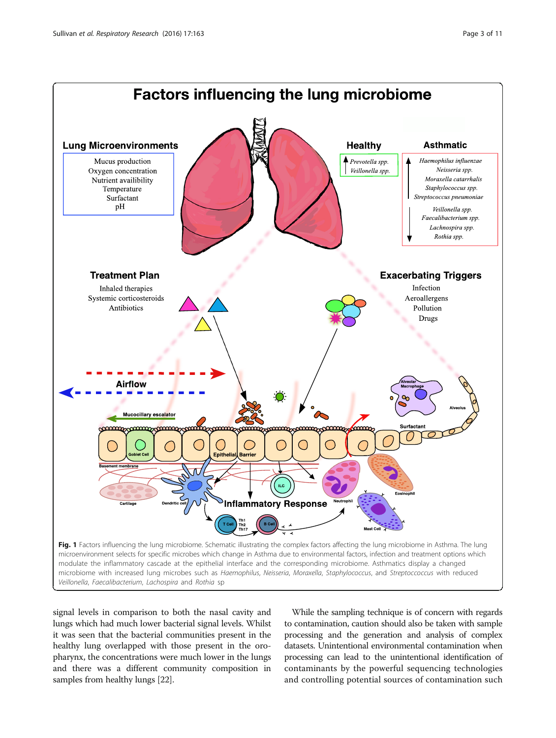<span id="page-2-0"></span>

signal levels in comparison to both the nasal cavity and lungs which had much lower bacterial signal levels. Whilst it was seen that the bacterial communities present in the healthy lung overlapped with those present in the oropharynx, the concentrations were much lower in the lungs and there was a different community composition in samples from healthy lungs [[22](#page-9-0)].

While the sampling technique is of concern with regards to contamination, caution should also be taken with sample processing and the generation and analysis of complex datasets. Unintentional environmental contamination when processing can lead to the unintentional identification of contaminants by the powerful sequencing technologies and controlling potential sources of contamination such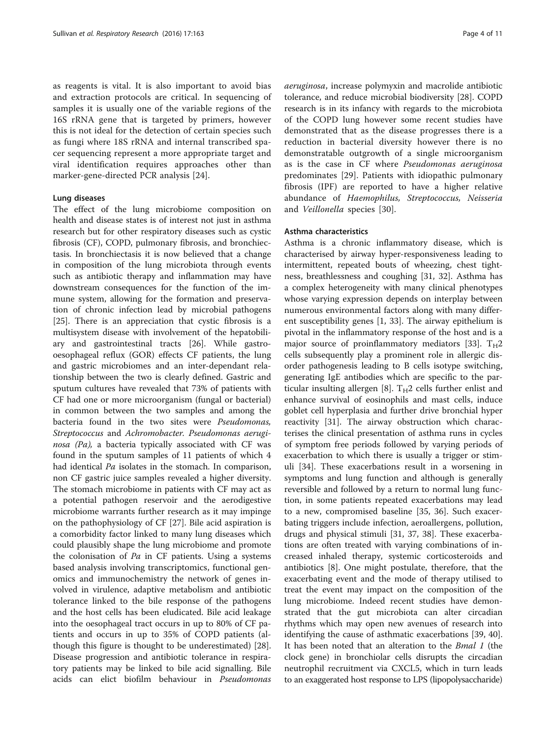as reagents is vital. It is also important to avoid bias and extraction protocols are critical. In sequencing of samples it is usually one of the variable regions of the 16S rRNA gene that is targeted by primers, however this is not ideal for the detection of certain species such as fungi where 18S rRNA and internal transcribed spacer sequencing represent a more appropriate target and viral identification requires approaches other than marker-gene-directed PCR analysis [[24\]](#page-9-0).

# Lung diseases

The effect of the lung microbiome composition on health and disease states is of interest not just in asthma research but for other respiratory diseases such as cystic fibrosis (CF), COPD, pulmonary fibrosis, and bronchiectasis. In bronchiectasis it is now believed that a change in composition of the lung microbiota through events such as antibiotic therapy and inflammation may have downstream consequences for the function of the immune system, allowing for the formation and preservation of chronic infection lead by microbial pathogens [[25\]](#page-9-0). There is an appreciation that cystic fibrosis is a multisystem disease with involvement of the hepatobiliary and gastrointestinal tracts [[26](#page-9-0)]. While gastrooesophageal reflux (GOR) effects CF patients, the lung and gastric microbiomes and an inter-dependant relationship between the two is clearly defined. Gastric and sputum cultures have revealed that 73% of patients with CF had one or more microorganism (fungal or bacterial) in common between the two samples and among the bacteria found in the two sites were Pseudomonas, Streptococcus and Achromobacter. Pseudomonas aeruginosa (Pa), a bacteria typically associated with CF was found in the sputum samples of 11 patients of which 4 had identical Pa isolates in the stomach. In comparison, non CF gastric juice samples revealed a higher diversity. The stomach microbiome in patients with CF may act as a potential pathogen reservoir and the aerodigestive microbiome warrants further research as it may impinge on the pathophysiology of CF [[27](#page-9-0)]. Bile acid aspiration is a comorbidity factor linked to many lung diseases which could plausibly shape the lung microbiome and promote the colonisation of  $Pa$  in CF patients. Using a systems based analysis involving transcriptomics, functional genomics and immunochemistry the network of genes involved in virulence, adaptive metabolism and antibiotic tolerance linked to the bile response of the pathogens and the host cells has been eludicated. Bile acid leakage into the oesophageal tract occurs in up to 80% of CF patients and occurs in up to 35% of COPD patients (although this figure is thought to be underestimated) [\[28](#page-9-0)]. Disease progression and antibiotic tolerance in respiratory patients may be linked to bile acid signalling. Bile acids can elict biofilm behaviour in Pseudomonas aeruginosa, increase polymyxin and macrolide antibiotic tolerance, and reduce microbial biodiversity [[28\]](#page-9-0). COPD research is in its infancy with regards to the microbiota of the COPD lung however some recent studies have demonstrated that as the disease progresses there is a reduction in bacterial diversity however there is no demonstratable outgrowth of a single microorganism as is the case in CF where Pseudomonas aeruginosa predominates [[29\]](#page-9-0). Patients with idiopathic pulmonary fibrosis (IPF) are reported to have a higher relative abundance of Haemophilus, Streptococcus, Neisseria and Veillonella species [[30](#page-9-0)].

# Asthma characteristics

Asthma is a chronic inflammatory disease, which is characterised by airway hyper-responsiveness leading to intermittent, repeated bouts of wheezing, chest tightness, breathlessness and coughing [\[31, 32\]](#page-9-0). Asthma has a complex heterogeneity with many clinical phenotypes whose varying expression depends on interplay between numerous environmental factors along with many different susceptibility genes [[1, 33](#page-9-0)]. The airway epithelium is pivotal in the inflammatory response of the host and is a major source of proinflammatory mediators [\[33\]](#page-9-0).  $T_H2$ cells subsequently play a prominent role in allergic disorder pathogenesis leading to B cells isotype switching, generating IgE antibodies which are specific to the par-ticular insulting allergen [[8](#page-9-0)].  $T_H2$  cells further enlist and enhance survival of eosinophils and mast cells, induce goblet cell hyperplasia and further drive bronchial hyper reactivity [[31\]](#page-9-0). The airway obstruction which characterises the clinical presentation of asthma runs in cycles of symptom free periods followed by varying periods of exacerbation to which there is usually a trigger or stimuli [\[34](#page-9-0)]. These exacerbations result in a worsening in symptoms and lung function and although is generally reversible and followed by a return to normal lung function, in some patients repeated exacerbations may lead to a new, compromised baseline [\[35](#page-9-0), [36](#page-9-0)]. Such exacerbating triggers include infection, aeroallergens, pollution, drugs and physical stimuli [\[31](#page-9-0), [37, 38](#page-9-0)]. These exacerbations are often treated with varying combinations of increased inhaled therapy, systemic corticosteroids and antibiotics [\[8](#page-9-0)]. One might postulate, therefore, that the exacerbating event and the mode of therapy utilised to treat the event may impact on the composition of the lung microbiome. Indeed recent studies have demonstrated that the gut microbiota can alter circadian rhythms which may open new avenues of research into identifying the cause of asthmatic exacerbations [\[39](#page-9-0), [40](#page-9-0)]. It has been noted that an alteration to the Bmal 1 (the clock gene) in bronchiolar cells disrupts the circadian neutrophil recruitment via CXCL5, which in turn leads to an exaggerated host response to LPS (lipopolysaccharide)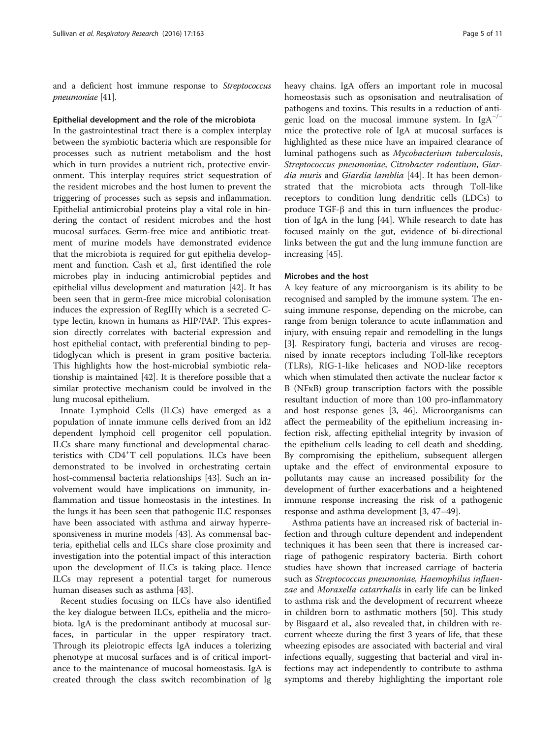and a deficient host immune response to Streptococcus pneumoniae [\[41\]](#page-9-0).

#### Epithelial development and the role of the microbiota

In the gastrointestinal tract there is a complex interplay between the symbiotic bacteria which are responsible for processes such as nutrient metabolism and the host which in turn provides a nutrient rich, protective environment. This interplay requires strict sequestration of the resident microbes and the host lumen to prevent the triggering of processes such as sepsis and inflammation. Epithelial antimicrobial proteins play a vital role in hindering the contact of resident microbes and the host mucosal surfaces. Germ-free mice and antibiotic treatment of murine models have demonstrated evidence that the microbiota is required for gut epithelia development and function. Cash et al., first identified the role microbes play in inducing antimicrobial peptides and epithelial villus development and maturation [\[42](#page-9-0)]. It has been seen that in germ-free mice microbial colonisation induces the expression of RegIIIγ which is a secreted Ctype lectin, known in humans as HIP/PAP. This expression directly correlates with bacterial expression and host epithelial contact, with preferential binding to peptidoglycan which is present in gram positive bacteria. This highlights how the host-microbial symbiotic relationship is maintained [\[42](#page-9-0)]. It is therefore possible that a similar protective mechanism could be involved in the lung mucosal epithelium.

Innate Lymphoid Cells (ILCs) have emerged as a population of innate immune cells derived from an Id2 dependent lymphoid cell progenitor cell population. ILCs share many functional and developmental characteristics with CD4<sup>+</sup> T cell populations. ILCs have been demonstrated to be involved in orchestrating certain host-commensal bacteria relationships [[43](#page-9-0)]. Such an involvement would have implications on immunity, inflammation and tissue homeostasis in the intestines. In the lungs it has been seen that pathogenic ILC responses have been associated with asthma and airway hyperresponsiveness in murine models [\[43](#page-9-0)]. As commensal bacteria, epithelial cells and ILCs share close proximity and investigation into the potential impact of this interaction upon the development of ILCs is taking place. Hence ILCs may represent a potential target for numerous human diseases such as asthma [\[43\]](#page-9-0).

Recent studies focusing on ILCs have also identified the key dialogue between ILCs, epithelia and the microbiota. IgA is the predominant antibody at mucosal surfaces, in particular in the upper respiratory tract. Through its pleiotropic effects IgA induces a tolerizing phenotype at mucosal surfaces and is of critical importance to the maintenance of mucosal homeostasis. IgA is created through the class switch recombination of Ig heavy chains. IgA offers an important role in mucosal homeostasis such as opsonisation and neutralisation of pathogens and toxins. This results in a reduction of antigenic load on the mucosal immune system. In IgA<sup> $-/-$ </sup> mice the protective role of IgA at mucosal surfaces is highlighted as these mice have an impaired clearance of luminal pathogens such as Mycobacterium tuberculosis, Streptococcus pneumoniae, Citrobacter rodentium, Giar-dia muris and Giardia lamblia [\[44](#page-9-0)]. It has been demonstrated that the microbiota acts through Toll-like receptors to condition lung dendritic cells (LDCs) to produce TGF-β and this in turn influences the production of IgA in the lung [[44](#page-9-0)]. While research to date has focused mainly on the gut, evidence of bi-directional links between the gut and the lung immune function are increasing [\[45](#page-9-0)].

# Microbes and the host

A key feature of any microorganism is its ability to be recognised and sampled by the immune system. The ensuing immune response, depending on the microbe, can range from benign tolerance to acute inflammation and injury, with ensuing repair and remodelling in the lungs [[3\]](#page-9-0). Respiratory fungi, bacteria and viruses are recognised by innate receptors including Toll-like receptors (TLRs), RIG-1-like helicases and NOD-like receptors which when stimulated then activate the nuclear factor κ B (NFκB) group transcription factors with the possible resultant induction of more than 100 pro-inflammatory and host response genes [[3, 46](#page-9-0)]. Microorganisms can affect the permeability of the epithelium increasing infection risk, affecting epithelial integrity by invasion of the epithelium cells leading to cell death and shedding. By compromising the epithelium, subsequent allergen uptake and the effect of environmental exposure to pollutants may cause an increased possibility for the development of further exacerbations and a heightened immune response increasing the risk of a pathogenic response and asthma development [\[3](#page-9-0), [47](#page-9-0)–[49](#page-10-0)].

Asthma patients have an increased risk of bacterial infection and through culture dependent and independent techniques it has been seen that there is increased carriage of pathogenic respiratory bacteria. Birth cohort studies have shown that increased carriage of bacteria such as Streptococcus pneumoniae, Haemophilus influenzae and Moraxella catarrhalis in early life can be linked to asthma risk and the development of recurrent wheeze in children born to asthmatic mothers [\[50\]](#page-10-0). This study by Bisgaard et al., also revealed that, in children with recurrent wheeze during the first 3 years of life, that these wheezing episodes are associated with bacterial and viral infections equally, suggesting that bacterial and viral infections may act independently to contribute to asthma symptoms and thereby highlighting the important role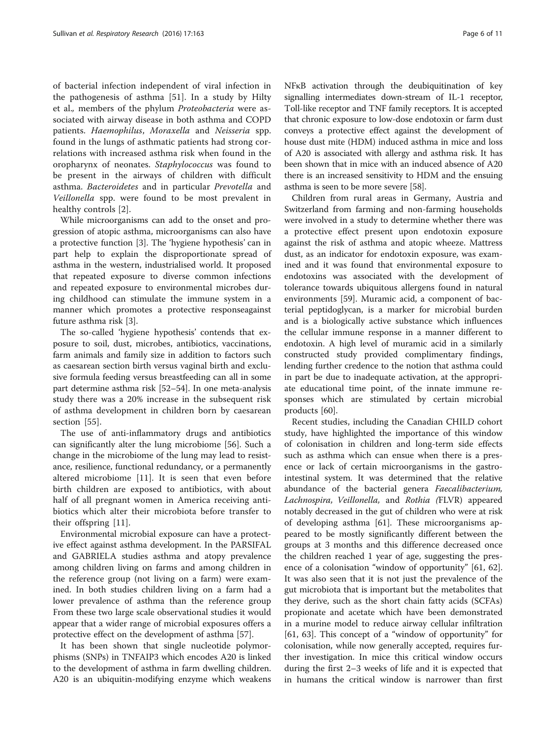of bacterial infection independent of viral infection in the pathogenesis of asthma [\[51](#page-10-0)]. In a study by Hilty et al., members of the phylum Proteobacteria were associated with airway disease in both asthma and COPD patients. Haemophilus, Moraxella and Neisseria spp. found in the lungs of asthmatic patients had strong correlations with increased asthma risk when found in the oropharynx of neonates. Staphylococcus was found to be present in the airways of children with difficult asthma. Bacteroidetes and in particular Prevotella and Veillonella spp. were found to be most prevalent in healthy controls [[2\]](#page-9-0).

While microorganisms can add to the onset and progression of atopic asthma, microorganisms can also have a protective function [[3\]](#page-9-0). The 'hygiene hypothesis' can in part help to explain the disproportionate spread of asthma in the western, industrialised world. It proposed that repeated exposure to diverse common infections and repeated exposure to environmental microbes during childhood can stimulate the immune system in a manner which promotes a protective responseagainst future asthma risk [[3\]](#page-9-0).

The so-called 'hygiene hypothesis' contends that exposure to soil, dust, microbes, antibiotics, vaccinations, farm animals and family size in addition to factors such as caesarean section birth versus vaginal birth and exclusive formula feeding versus breastfeeding can all in some part determine asthma risk [\[52](#page-10-0)–[54](#page-10-0)]. In one meta-analysis study there was a 20% increase in the subsequent risk of asthma development in children born by caesarean section [\[55](#page-10-0)].

The use of anti-inflammatory drugs and antibiotics can significantly alter the lung microbiome [[56](#page-10-0)]. Such a change in the microbiome of the lung may lead to resistance, resilience, functional redundancy, or a permanently altered microbiome [\[11](#page-9-0)]. It is seen that even before birth children are exposed to antibiotics, with about half of all pregnant women in America receiving antibiotics which alter their microbiota before transfer to their offspring [\[11](#page-9-0)].

Environmental microbial exposure can have a protective effect against asthma development. In the PARSIFAL and GABRIELA studies asthma and atopy prevalence among children living on farms and among children in the reference group (not living on a farm) were examined. In both studies children living on a farm had a lower prevalence of asthma than the reference group From these two large scale observational studies it would appear that a wider range of microbial exposures offers a protective effect on the development of asthma [[57\]](#page-10-0).

It has been shown that single nucleotide polymorphisms (SNPs) in TNFAIP3 which encodes A20 is linked to the development of asthma in farm dwelling children. A20 is an ubiquitin-modifying enzyme which weakens NFκB activation through the deubiquitination of key signalling intermediates down-stream of IL-1 receptor, Toll-like receptor and TNF family receptors. It is accepted that chronic exposure to low-dose endotoxin or farm dust conveys a protective effect against the development of house dust mite (HDM) induced asthma in mice and loss of A20 is associated with allergy and asthma risk. It has been shown that in mice with an induced absence of A20 there is an increased sensitivity to HDM and the ensuing asthma is seen to be more severe [\[58\]](#page-10-0).

Children from rural areas in Germany, Austria and Switzerland from farming and non-farming households were involved in a study to determine whether there was a protective effect present upon endotoxin exposure against the risk of asthma and atopic wheeze. Mattress dust, as an indicator for endotoxin exposure, was examined and it was found that environmental exposure to endotoxins was associated with the development of tolerance towards ubiquitous allergens found in natural environments [[59\]](#page-10-0). Muramic acid, a component of bacterial peptidoglycan, is a marker for microbial burden and is a biologically active substance which influences the cellular immune response in a manner different to endotoxin. A high level of muramic acid in a similarly constructed study provided complimentary findings, lending further credence to the notion that asthma could in part be due to inadequate activation, at the appropriate educational time point, of the innate immune responses which are stimulated by certain microbial products [[60\]](#page-10-0).

Recent studies, including the Canadian CHILD cohort study, have highlighted the importance of this window of colonisation in children and long-term side effects such as asthma which can ensue when there is a presence or lack of certain microorganisms in the gastrointestinal system. It was determined that the relative abundance of the bacterial genera Faecalibacterium, Lachnospira, Veillonella, and Rothia (FLVR) appeared notably decreased in the gut of children who were at risk of developing asthma [[61\]](#page-10-0). These microorganisms appeared to be mostly significantly different between the groups at 3 months and this difference decreased once the children reached 1 year of age, suggesting the presence of a colonisation "window of opportunity" [\[61, 62](#page-10-0)]. It was also seen that it is not just the prevalence of the gut microbiota that is important but the metabolites that they derive, such as the short chain fatty acids (SCFAs) propionate and acetate which have been demonstrated in a murine model to reduce airway cellular infiltration [[61, 63](#page-10-0)]. This concept of a "window of opportunity" for colonisation, while now generally accepted, requires further investigation. In mice this critical window occurs during the first 2–3 weeks of life and it is expected that in humans the critical window is narrower than first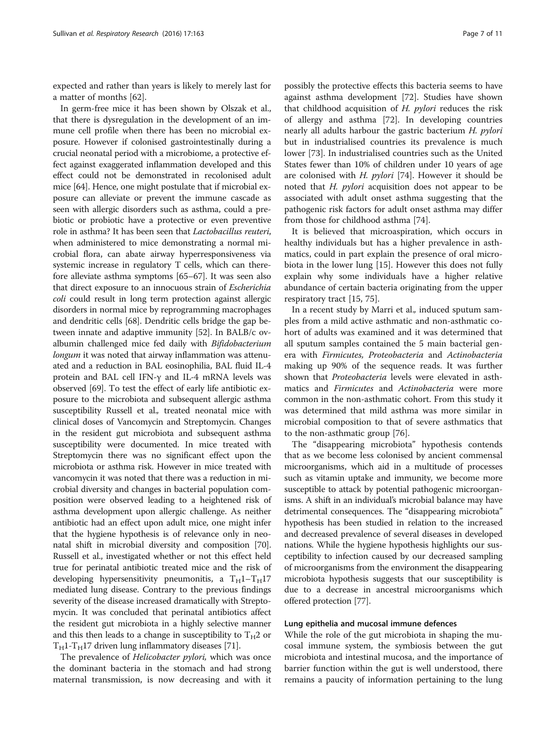expected and rather than years is likely to merely last for a matter of months [[62\]](#page-10-0).

In germ-free mice it has been shown by Olszak et al., that there is dysregulation in the development of an immune cell profile when there has been no microbial exposure. However if colonised gastrointestinally during a crucial neonatal period with a microbiome, a protective effect against exaggerated inflammation developed and this effect could not be demonstrated in recolonised adult mice [[64](#page-10-0)]. Hence, one might postulate that if microbial exposure can alleviate or prevent the immune cascade as seen with allergic disorders such as asthma, could a prebiotic or probiotic have a protective or even preventive role in asthma? It has been seen that Lactobacillus reuteri, when administered to mice demonstrating a normal microbial flora, can abate airway hyperresponsiveness via systemic increase in regulatory T cells, which can therefore alleviate asthma symptoms [[65](#page-10-0)–[67\]](#page-10-0). It was seen also that direct exposure to an innocuous strain of Escherichia coli could result in long term protection against allergic disorders in normal mice by reprogramming macrophages and dendritic cells [\[68\]](#page-10-0). Dendritic cells bridge the gap between innate and adaptive immunity [\[52](#page-10-0)]. In BALB/c ovalbumin challenged mice fed daily with *Bifidobacterium* longum it was noted that airway inflammation was attenuated and a reduction in BAL eosinophilia, BAL fluid IL-4 protein and BAL cell IFN-γ and IL-4 mRNA levels was observed [[69](#page-10-0)]. To test the effect of early life antibiotic exposure to the microbiota and subsequent allergic asthma susceptibility Russell et al., treated neonatal mice with clinical doses of Vancomycin and Streptomycin. Changes in the resident gut microbiota and subsequent asthma susceptibility were documented. In mice treated with Streptomycin there was no significant effect upon the microbiota or asthma risk. However in mice treated with vancomycin it was noted that there was a reduction in microbial diversity and changes in bacterial population composition were observed leading to a heightened risk of asthma development upon allergic challenge. As neither antibiotic had an effect upon adult mice, one might infer that the hygiene hypothesis is of relevance only in neonatal shift in microbial diversity and composition [[70](#page-10-0)]. Russell et al., investigated whether or not this effect held true for perinatal antibiotic treated mice and the risk of developing hypersensitivity pneumonitis, a  $T_H1-T_H17$ mediated lung disease. Contrary to the previous findings severity of the disease increased dramatically with Streptomycin. It was concluded that perinatal antibiotics affect the resident gut microbiota in a highly selective manner and this then leads to a change in susceptibility to  $T_H2$  or  $T_H$ 1-T<sub>H</sub>17 driven lung inflammatory diseases [\[71\]](#page-10-0).

The prevalence of *Helicobacter pylori*, which was once the dominant bacteria in the stomach and had strong maternal transmission, is now decreasing and with it

possibly the protective effects this bacteria seems to have against asthma development [[72\]](#page-10-0). Studies have shown that childhood acquisition of H. pylori reduces the risk of allergy and asthma [\[72\]](#page-10-0). In developing countries nearly all adults harbour the gastric bacterium H. pylori but in industrialised countries its prevalence is much lower [\[73](#page-10-0)]. In industrialised countries such as the United States fewer than 10% of children under 10 years of age are colonised with  $H.$  pylori [[74\]](#page-10-0). However it should be noted that H. pylori acquisition does not appear to be associated with adult onset asthma suggesting that the pathogenic risk factors for adult onset asthma may differ from those for childhood asthma [\[74\]](#page-10-0).

It is believed that microaspiration, which occurs in healthy individuals but has a higher prevalence in asthmatics, could in part explain the presence of oral microbiota in the lower lung [[15\]](#page-9-0). However this does not fully explain why some individuals have a higher relative abundance of certain bacteria originating from the upper respiratory tract [[15](#page-9-0), [75](#page-10-0)].

In a recent study by Marri et al., induced sputum samples from a mild active asthmatic and non-asthmatic cohort of adults was examined and it was determined that all sputum samples contained the 5 main bacterial genera with Firmicutes, Proteobacteria and Actinobacteria making up 90% of the sequence reads. It was further shown that Proteobacteria levels were elevated in asthmatics and Firmicutes and Actinobacteria were more common in the non-asthmatic cohort. From this study it was determined that mild asthma was more similar in microbial composition to that of severe asthmatics that to the non-asthmatic group [[76\]](#page-10-0).

The "disappearing microbiota" hypothesis contends that as we become less colonised by ancient commensal microorganisms, which aid in a multitude of processes such as vitamin uptake and immunity, we become more susceptible to attack by potential pathogenic microorganisms. A shift in an individual's microbial balance may have detrimental consequences. The "disappearing microbiota" hypothesis has been studied in relation to the increased and decreased prevalence of several diseases in developed nations. While the hygiene hypothesis highlights our susceptibility to infection caused by our decreased sampling of microorganisms from the environment the disappearing microbiota hypothesis suggests that our susceptibility is due to a decrease in ancestral microorganisms which offered protection [\[77](#page-10-0)].

## Lung epithelia and mucosal immune defences

While the role of the gut microbiota in shaping the mucosal immune system, the symbiosis between the gut microbiota and intestinal mucosa, and the importance of barrier function within the gut is well understood, there remains a paucity of information pertaining to the lung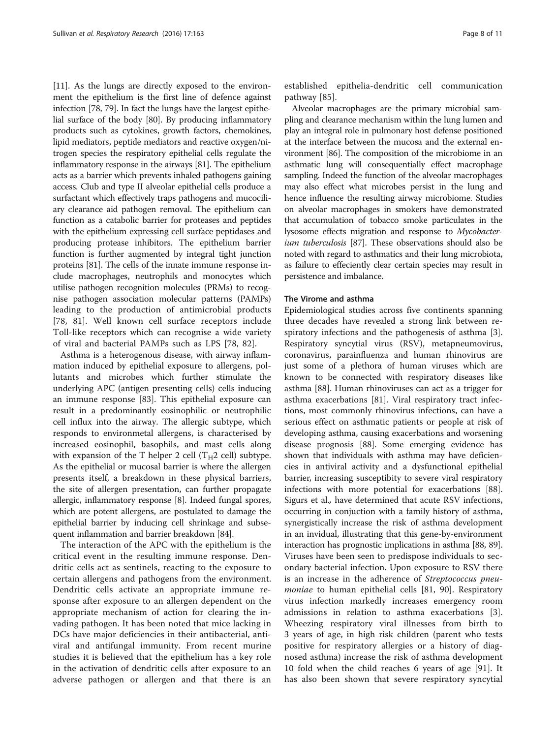[[11\]](#page-9-0). As the lungs are directly exposed to the environment the epithelium is the first line of defence against infection [[78](#page-10-0), [79\]](#page-10-0). In fact the lungs have the largest epithelial surface of the body [\[80\]](#page-10-0). By producing inflammatory products such as cytokines, growth factors, chemokines, lipid mediators, peptide mediators and reactive oxygen/nitrogen species the respiratory epithelial cells regulate the inflammatory response in the airways [[81](#page-10-0)]. The epithelium acts as a barrier which prevents inhaled pathogens gaining access. Club and type II alveolar epithelial cells produce a surfactant which effectively traps pathogens and mucociliary clearance aid pathogen removal. The epithelium can function as a catabolic barrier for proteases and peptides with the epithelium expressing cell surface peptidases and producing protease inhibitors. The epithelium barrier function is further augmented by integral tight junction proteins [\[81\]](#page-10-0). The cells of the innate immune response include macrophages, neutrophils and monocytes which utilise pathogen recognition molecules (PRMs) to recognise pathogen association molecular patterns (PAMPs) leading to the production of antimicrobial products [[78, 81](#page-10-0)]. Well known cell surface receptors include Toll-like receptors which can recognise a wide variety of viral and bacterial PAMPs such as LPS [[78, 82\]](#page-10-0).

Asthma is a heterogenous disease, with airway inflammation induced by epithelial exposure to allergens, pollutants and microbes which further stimulate the underlying APC (antigen presenting cells) cells inducing an immune response [\[83](#page-10-0)]. This epithelial exposure can result in a predominantly eosinophilic or neutrophilic cell influx into the airway. The allergic subtype, which responds to environmetal allergens, is characterised by increased eosinophil, basophils, and mast cells along with expansion of the T helper 2 cell  $(T_H2$  cell) subtype. As the epithelial or mucosal barrier is where the allergen presents itself, a breakdown in these physical barriers, the site of allergen presentation, can further propagate allergic, inflammatory response [\[8\]](#page-9-0). Indeed fungal spores, which are potent allergens, are postulated to damage the epithelial barrier by inducing cell shrinkage and subsequent inflammation and barrier breakdown [[84](#page-10-0)].

The interaction of the APC with the epithelium is the critical event in the resulting immune response. Dendritic cells act as sentinels, reacting to the exposure to certain allergens and pathogens from the environment. Dendritic cells activate an appropriate immune response after exposure to an allergen dependent on the appropriate mechanism of action for clearing the invading pathogen. It has been noted that mice lacking in DCs have major deficiencies in their antibacterial, antiviral and antifungal immunity. From recent murine studies it is believed that the epithelium has a key role in the activation of dendritic cells after exposure to an adverse pathogen or allergen and that there is an established epithelia-dendritic cell communication pathway [[85\]](#page-10-0).

Alveolar macrophages are the primary microbial sampling and clearance mechanism within the lung lumen and play an integral role in pulmonary host defense positioned at the interface between the mucosa and the external environment [\[86\]](#page-10-0). The composition of the microbiome in an asthmatic lung will consequentially effect macrophage sampling. Indeed the function of the alveolar macrophages may also effect what microbes persist in the lung and hence influence the resulting airway microbiome. Studies on alveolar macrophages in smokers have demonstrated that accumulation of tobacco smoke particulates in the lysosome effects migration and response to Mycobacter-ium tuberculosis [\[87\]](#page-10-0). These observations should also be noted with regard to asthmatics and their lung microbiota, as failure to effeciently clear certain species may result in persistence and imbalance.

# The Virome and asthma

Epidemiological studies across five continents spanning three decades have revealed a strong link between respiratory infections and the pathogenesis of asthma [\[3](#page-9-0)]. Respiratory syncytial virus (RSV), metapneumovirus, coronavirus, parainfluenza and human rhinovirus are just some of a plethora of human viruses which are known to be connected with respiratory diseases like asthma [\[88](#page-10-0)]. Human rhinoviruses can act as a trigger for asthma exacerbations [\[81\]](#page-10-0). Viral respiratory tract infections, most commonly rhinovirus infections, can have a serious effect on asthmatic patients or people at risk of developing asthma, causing exacerbations and worsening disease prognosis [[88](#page-10-0)]. Some emerging evidence has shown that individuals with asthma may have deficiencies in antiviral activity and a dysfunctional epithelial barrier, increasing susceptibity to severe viral respiratory infections with more potential for exacerbations [\[88](#page-10-0)]. Sigurs et al., have determined that acute RSV infections, occurring in conjuction with a family history of asthma, synergistically increase the risk of asthma development in an invidual, illustrating that this gene-by-environment interaction has prognostic implications in asthma [\[88, 89](#page-10-0)]. Viruses have been seen to predispose individuals to secondary bacterial infection. Upon exposure to RSV there is an increase in the adherence of Streptococcus pneu-moniae to human epithelial cells [[81, 90](#page-10-0)]. Respiratory virus infection markedly increases emergency room admissions in relation to asthma exacerbations [\[3](#page-9-0)]. Wheezing respiratory viral illnesses from birth to 3 years of age, in high risk children (parent who tests positive for respiratory allergies or a history of diagnosed asthma) increase the risk of asthma development 10 fold when the child reaches 6 years of age [\[91](#page-10-0)]. It has also been shown that severe respiratory syncytial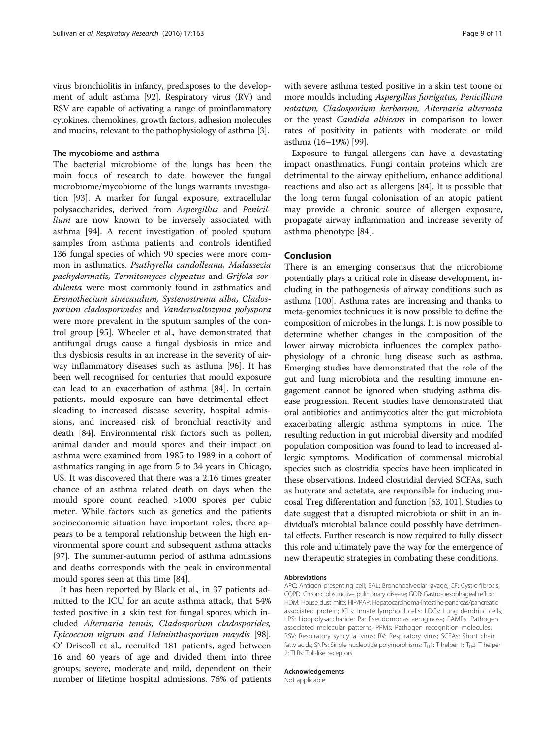virus bronchiolitis in infancy, predisposes to the development of adult asthma [\[92\]](#page-10-0). Respiratory virus (RV) and RSV are capable of activating a range of proinflammatory cytokines, chemokines, growth factors, adhesion molecules and mucins, relevant to the pathophysiology of asthma [\[3](#page-9-0)].

#### The mycobiome and asthma

The bacterial microbiome of the lungs has been the main focus of research to date, however the fungal microbiome/mycobiome of the lungs warrants investigation [\[93](#page-10-0)]. A marker for fungal exposure, extracellular polysaccharides, derived from Aspergillus and Penicillium are now known to be inversely associated with asthma [\[94](#page-10-0)]. A recent investigation of pooled sputum samples from asthma patients and controls identified 136 fungal species of which 90 species were more common in asthmatics. Psathyrella candolleana, Malassezia pachydermatis, Termitomyces clypeatus and Grifola sordulenta were most commonly found in asthmatics and Eremothecium sinecaudum, Systenostrema alba, Cladosporium cladosporioides and Vanderwaltozyma polyspora were more prevalent in the sputum samples of the control group [[95](#page-10-0)]. Wheeler et al., have demonstrated that antifungal drugs cause a fungal dysbiosis in mice and this dysbiosis results in an increase in the severity of airway inflammatory diseases such as asthma [\[96](#page-10-0)]. It has been well recognised for centuries that mould exposure can lead to an exacerbation of asthma [[84](#page-10-0)]. In certain patients, mould exposure can have detrimental effectsleading to increased disease severity, hospital admissions, and increased risk of bronchial reactivity and death [\[84](#page-10-0)]. Environmental risk factors such as pollen, animal dander and mould spores and their impact on asthma were examined from 1985 to 1989 in a cohort of asthmatics ranging in age from 5 to 34 years in Chicago, US. It was discovered that there was a 2.16 times greater chance of an asthma related death on days when the mould spore count reached >1000 spores per cubic meter. While factors such as genetics and the patients socioeconomic situation have important roles, there appears to be a temporal relationship between the high environmental spore count and subsequent asthma attacks [[97\]](#page-10-0). The summer-autumn period of asthma admissions and deaths corresponds with the peak in environmental mould spores seen at this time [[84](#page-10-0)].

It has been reported by Black et al., in 37 patients admitted to the ICU for an acute asthma attack, that 54% tested positive in a skin test for fungal spores which included Alternaria tenuis, Cladosporium cladosporides, Epicoccum nigrum and Helminthosporium maydis [\[98](#page-10-0)]. O' Driscoll et al., recruited 181 patients, aged between 16 and 60 years of age and divided them into three groups; severe, moderate and mild, dependent on their number of lifetime hospital admissions. 76% of patients with severe asthma tested positive in a skin test toone or more moulds including Aspergillus fumigatus, Penicillium notatum, Cladosporium herbarum, Alternaria alternata or the yeast Candida albicans in comparison to lower rates of positivity in patients with moderate or mild asthma (16–19%) [[99\]](#page-10-0).

Exposure to fungal allergens can have a devastating impact onasthmatics. Fungi contain proteins which are detrimental to the airway epithelium, enhance additional reactions and also act as allergens [[84\]](#page-10-0). It is possible that the long term fungal colonisation of an atopic patient may provide a chronic source of allergen exposure, propagate airway inflammation and increase severity of asthma phenotype [[84\]](#page-10-0).

# Conclusion

There is an emerging consensus that the microbiome potentially plays a critical role in disease development, including in the pathogenesis of airway conditions such as asthma [\[100\]](#page-10-0). Asthma rates are increasing and thanks to meta-genomics techniques it is now possible to define the composition of microbes in the lungs. It is now possible to determine whether changes in the composition of the lower airway microbiota influences the complex pathophysiology of a chronic lung disease such as asthma. Emerging studies have demonstrated that the role of the gut and lung microbiota and the resulting immune engagement cannot be ignored when studying asthma disease progression. Recent studies have demonstrated that oral antibiotics and antimycotics alter the gut microbiota exacerbating allergic asthma symptoms in mice. The resulting reduction in gut microbial diversity and modifed population composition was found to lead to increased allergic symptoms. Modification of commensal microbial species such as clostridia species have been implicated in these observations. Indeed clostridial dervied SCFAs, such as butyrate and actetate, are responsible for inducing mucosal Treg differentation and function [\[63, 101](#page-10-0)]. Studies to date suggest that a disrupted microbiota or shift in an individual's microbial balance could possibly have detrimental effects. Further research is now required to fully dissect this role and ultimately pave the way for the emergence of new therapeutic strategies in combating these conditions.

#### Abbreviations

APC: Antigen presenting cell; BAL: Bronchoalveolar lavage; CF: Cystic fibrosis; COPD: Chronic obstructive pulmonary disease; GOR: Gastro-oesophageal reflux; HDM: House dust mite; HIP/PAP: Hepatocarcinoma-intestine-pancreas/pancreatic associated protein; ICLs: Innate lymphoid cells; LDCs: Lung dendritic cells; LPS: Lipopolysaccharide; Pa: Pseudomonas aeruginosa; PAMPs: Pathogen associated molecular patterns; PRMs: Pathogen recognition molecules; RSV: Respiratory syncytial virus; RV: Respiratory virus; SCFAs: Short chain fatty acids; SNPs: Single nucleotide polymorphisms;  $T_H1$ : T helper 1;  $T_H2$ : T helper 2; TLRs: Toll-like receptors

#### Acknowledgements

Not applicable.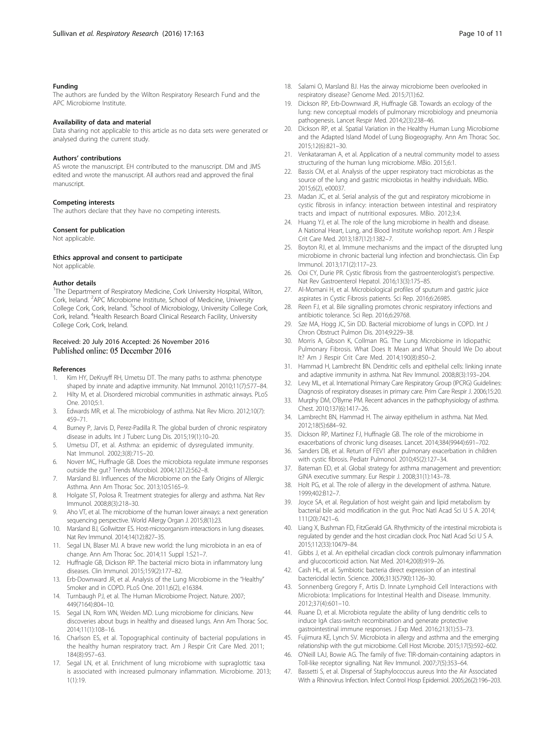#### <span id="page-9-0"></span>Funding

The authors are funded by the Wilton Respiratory Research Fund and the APC Microbiome Institute.

# Availability of data and material

Data sharing not applicable to this article as no data sets were generated or analysed during the current study.

#### Authors' contributions

AS wrote the manuscript. EH contributed to the manuscript. DM and JMS edited and wrote the manuscript. All authors read and approved the final manuscript.

#### Competing interests

The authors declare that they have no competing interests.

#### Consent for publication

Not applicable.

#### Ethics approval and consent to participate

Not applicable.

#### Author details

<sup>1</sup>The Department of Respiratory Medicine, Cork University Hospital, Wilton, Cork, Ireland. <sup>2</sup>APC Microbiome Institute, School of Medicine, University College Cork, Cork, Ireland. <sup>3</sup>School of Microbiology, University College Cork, Cork, Ireland. <sup>4</sup> Health Research Board Clinical Research Facility, University College Cork, Cork, Ireland.

# Received: 20 July 2016 Accepted: 26 November 2016 Published online: 05 December 2016

#### References

- 1. Kim HY, DeKruyff RH, Umetsu DT. The many paths to asthma: phenotype shaped by innate and adaptive immunity. Nat Immunol. 2010;11(7):577–84.
- 2. Hilty M, et al. Disordered microbial communities in asthmatic airways. PLoS One. 2010;5:1.
- 3. Edwards MR, et al. The microbiology of asthma. Nat Rev Micro. 2012;10(7): 459–71.
- 4. Burney P, Jarvis D, Perez-Padilla R. The global burden of chronic respiratory disease in adults. Int J Tuberc Lung Dis. 2015;19(1):10–20.
- 5. Umetsu DT, et al. Asthma: an epidemic of dysregulated immunity. Nat Immunol. 2002;3(8):715–20.
- 6. Noverr MC, Huffnagle GB. Does the microbiota regulate immune responses outside the gut? Trends Microbiol. 2004;12(12):562–8.
- 7. Marsland BJ. Influences of the Microbiome on the Early Origins of Allergic Asthma. Ann Am Thorac Soc. 2013;10:S165–9.
- 8. Holgate ST, Polosa R. Treatment strategies for allergy and asthma. Nat Rev Immunol. 2008;8(3):218–30.
- 9. Aho VT, et al. The microbiome of the human lower airways: a next generation sequencing perspective. World Allergy Organ J. 2015;8(1):23.
- 10. Marsland BJ, Gollwitzer ES. Host-microorganism interactions in lung diseases. Nat Rev Immunol. 2014;14(12):827–35.
- 11. Segal LN, Blaser MJ. A brave new world: the lung microbiota in an era of change. Ann Am Thorac Soc. 2014;11 Suppl 1:S21–7.
- 12. Huffnagle GB, Dickson RP. The bacterial micro biota in inflammatory lung diseases. Clin Immunol. 2015;159(2):177–82.
- 13. Erb-Downward JR, et al. Analysis of the Lung Microbiome in the "Healthy" Smoker and in COPD. PLoS One. 2011;6(2), e16384.
- 14. Turnbaugh PJ, et al. The Human Microbiome Project. Nature. 2007; 449(7164):804–10.
- 15. Segal LN, Rom WN, Weiden MD. Lung microbiome for clinicians. New discoveries about bugs in healthy and diseased lungs. Ann Am Thorac Soc. 2014;11(1):108–16.
- 16. Charlson ES, et al. Topographical continuity of bacterial populations in the healthy human respiratory tract. Am J Respir Crit Care Med. 2011; 184(8):957–63.
- 17. Segal LN, et al. Enrichment of lung microbiome with supraglottic taxa is associated with increased pulmonary inflammation. Microbiome. 2013; 1(1):19.
- 18. Salami O, Marsland BJ. Has the airway microbiome been overlooked in respiratory disease? Genome Med. 2015;7(1):62.
- 19. Dickson RP, Erb-Downward JR, Huffnagle GB. Towards an ecology of the lung: new conceptual models of pulmonary microbiology and pneumonia pathogenesis. Lancet Respir Med. 2014;2(3):238–46.
- 20. Dickson RP, et al. Spatial Variation in the Healthy Human Lung Microbiome and the Adapted Island Model of Lung Biogeography. Ann Am Thorac Soc. 2015;12(6):821–30.
- 21. Venkataraman A, et al. Application of a neutral community model to assess structuring of the human lung microbiome. MBio. 2015;6:1.
- 22. Bassis CM, et al. Analysis of the upper respiratory tract microbiotas as the source of the lung and gastric microbiotas in healthy individuals. MBio. 2015;6(2), e00037.
- 23. Madan JC, et al. Serial analysis of the gut and respiratory microbiome in cystic fibrosis in infancy: interaction between intestinal and respiratory tracts and impact of nutritional exposures. MBio. 2012;3:4.
- 24. Huang YJ, et al. The role of the lung microbiome in health and disease. A National Heart, Lung, and Blood Institute workshop report. Am J Respir Crit Care Med. 2013;187(12):1382–7.
- 25. Boyton RJ, et al. Immune mechanisms and the impact of the disrupted lung microbiome in chronic bacterial lung infection and bronchiectasis. Clin Exp Immunol. 2013;171(2):117–23.
- 26. Ooi CY, Durie PR. Cystic fibrosis from the gastroenterologist's perspective. Nat Rev Gastroenterol Hepatol. 2016;13(3):175–85.
- 27. Al-Momani H, et al. Microbiological profiles of sputum and gastric juice aspirates in Cystic Fibrosis patients. Sci Rep. 2016;6:26985.
- 28. Reen FJ, et al. Bile signalling promotes chronic respiratory infections and antibiotic tolerance. Sci Rep. 2016;6:29768.
- 29. Sze MA, Hogg JC, Sin DD. Bacterial microbiome of lungs in COPD. Int J Chron Obstruct Pulmon Dis. 2014;9:229–38.
- 30. Morris A, Gibson K, Collman RG. The Lung Microbiome in Idiopathic Pulmonary Fibrosis. What Does It Mean and What Should We Do about It? Am J Respir Crit Care Med. 2014;190(8):850–2.
- 31. Hammad H, Lambrecht BN. Dendritic cells and epithelial cells: linking innate and adaptive immunity in asthma. Nat Rev Immunol. 2008;8(3):193–204.
- 32. Levy ML, et al. International Primary Care Respiratory Group (IPCRG) Guidelines: Diagnosis of respiratory diseases in primary care. Prim Care Respir J. 2006;15:20.
- 33. Murphy DM, O'Byrne PM. Recent advances in the pathophysiology of asthma. Chest. 2010;137(6):1417–26.
- 34. Lambrecht BN, Hammad H. The airway epithelium in asthma. Nat Med. 2012;18(5):684–92.
- 35. Dickson RP, Martinez FJ, Huffnagle GB. The role of the microbiome in exacerbations of chronic lung diseases. Lancet. 2014;384(9944):691–702.
- 36. Sanders DB, et al. Return of FEV1 after pulmonary exacerbation in children with cystic fibrosis. Pediatr Pulmonol. 2010;45(2):127–34.
- 37. Bateman ED, et al. Global strategy for asthma management and prevention: GINA executive summary. Eur Respir J. 2008;31(1):143–78.
- 38. Holt PG, et al. The role of allergy in the development of asthma. Nature. 1999;402:B12–7.
- 39. Joyce SA, et al. Regulation of host weight gain and lipid metabolism by bacterial bile acid modification in the gut. Proc Natl Acad Sci U S A. 2014; 111(20):7421–6.
- 40. Liang X, Bushman FD, FitzGerald GA. Rhythmicity of the intestinal microbiota is regulated by gender and the host circadian clock. Proc Natl Acad Sci U S A. 2015;112(33):10479–84.
- 41. Gibbs J, et al. An epithelial circadian clock controls pulmonary inflammation and glucocorticoid action. Nat Med. 2014;20(8):919–26.
- 42. Cash HL, et al. Symbiotic bacteria direct expression of an intestinal bactericidal lectin. Science. 2006;313(5790):1126–30.
- 43. Sonnenberg Gregory F, Artis D. Innate Lymphoid Cell Interactions with Microbiota: Implications for Intestinal Health and Disease. Immunity. 2012;37(4):601–10.
- 44. Ruane D, et al. Microbiota regulate the ability of lung dendritic cells to induce IgA class-switch recombination and generate protective gastrointestinal immune responses. J Exp Med. 2016;213(1):53–73.
- 45. Fujimura KE, Lynch SV. Microbiota in allergy and asthma and the emerging relationship with the gut microbiome. Cell Host Microbe. 2015;17(5):592–602.
- 46. O'Neill LAJ, Bowie AG. The family of five: TIR-domain-containing adaptors in Toll-like receptor signalling. Nat Rev Immunol. 2007;7(5):353–64.
- 47. Bassetti S, et al. Dispersal of Staphylococcus aureus Into the Air Associated With a Rhinovirus Infection. Infect Control Hosp Epidemiol. 2005;26(2):196–203.